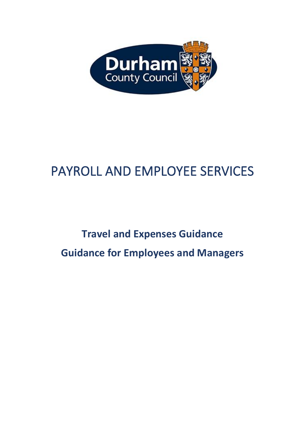

# PAYROLL AND EMPLOYEE SERVICES

# **Travel and Expenses Guidance Guidance for Employees and Managers**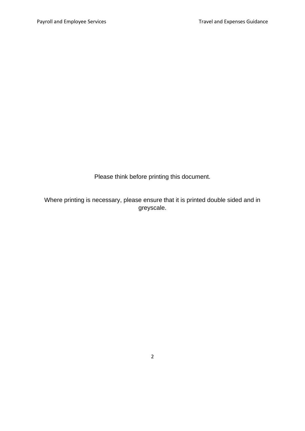Please think before printing this document.

Where printing is necessary, please ensure that it is printed double sided and in greyscale.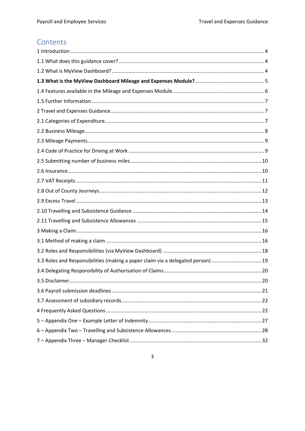## Contents

| 3.3 Roles and Responsibilities (making a paper claim via a delegated person) 19 |
|---------------------------------------------------------------------------------|
|                                                                                 |
|                                                                                 |
|                                                                                 |
|                                                                                 |
|                                                                                 |
|                                                                                 |
|                                                                                 |
|                                                                                 |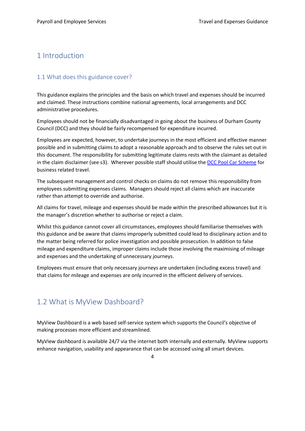## <span id="page-3-0"></span>1 Introduction

#### <span id="page-3-1"></span>1.1 What does this guidance cover?

This guidance explains the principles and the basis on which travel and expenses should be incurred and claimed. These instructions combine national agreements, local arrangements and DCC administrative procedures.

Employees should not be financially disadvantaged in going about the business of Durham County Council (DCC) and they should be fairly recompensed for expenditure incurred.

Employees are expected, however, to undertake journeys in the most efficient and effective manner possible and in submitting claims to adopt a reasonable approach and to observe the rules set out in this document. The responsibility for submitting legitimate claims rests with the claimant as detailed in the claim disclaimer (see s3). Wherever possible staff should utilise the [DCC Pool Car Scheme](http://intranet.durham.gov.uk/pages/PoolCars.aspx) for business related travel.

The subsequent management and control checks on claims do not remove this responsibility from employees submitting expenses claims. Managers should reject all claims which are inaccurate rather than attempt to override and authorise.

All claims for travel, mileage and expenses should be made within the prescribed allowances but it is the manager's discretion whether to authorise or reject a claim.

Whilst this guidance cannot cover all circumstances, employees should familiarise themselves with this guidance and be aware that claims improperly submitted could lead to disciplinary action and to the matter being referred for police investigation and possible prosecution. In addition to false mileage and expenditure claims, improper claims include those involving the maximising of mileage and expenses and the undertaking of unnecessary journeys.

Employees must ensure that only necessary journeys are undertaken (including excess travel) and that claims for mileage and expenses are only incurred in the efficient delivery of services.

## <span id="page-3-2"></span>1.2 What is MyView Dashboard?

MyView Dashboard is a web based self-service system which supports the Council's objective of making processes more efficient and streamlined.

MyView dashboard is available 24/7 via the internet both internally and externally. MyView supports enhance navigation, usability and appearance that can be accessed using all smart devices.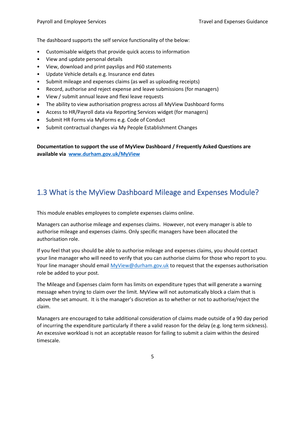The dashboard supports the self service functionality of the below:

- Customisable widgets that provide quick access to information
- View and update personal details
- View, download and print payslips and P60 statements
- Update Vehicle details e.g. Insurance end dates
- Submit mileage and expenses claims (as well as uploading receipts)
- Record, authorise and reject expense and leave submissions (for managers)
- View / submit annual leave and flexi leave requests
- The ability to view authorisation progress across all MyView Dashboard forms
- Access to HR/Payroll data via Reporting Services widget (for managers)
- Submit HR Forms via MyForms e.g. Code of Conduct
- Submit contractual changes via My People Establishment Changes

**Documentation to support the use of MyView Dashboard / Frequently Asked Questions are available via [www.durham.gov.uk/MyView](http://www.durham.gov.uk/MyView)**

## <span id="page-4-0"></span>1.3 What is the MyView Dashboard Mileage and Expenses Module?

This module enables employees to complete expenses claims online.

Managers can authorise mileage and expenses claims. However, not every manager is able to authorise mileage and expenses claims. Only specific managers have been allocated the authorisation role.

If you feel that you should be able to authorise mileage and expenses claims, you should contact your line manager who will need to verify that you can authorise claims for those who report to you. Your line manager should emai[l MyView@durham.gov.uk](mailto:MyView@durham.gov.uk) to request that the expenses authorisation role be added to your post.

The Mileage and Expenses claim form has limits on expenditure types that will generate a warning message when trying to claim over the limit. MyView will not automatically block a claim that is above the set amount. It is the manager's discretion as to whether or not to authorise/reject the claim.

Managers are encouraged to take additional consideration of claims made outside of a 90 day period of incurring the expenditure particularly if there a valid reason for the delay (e.g. long term sickness). An excessive workload is not an acceptable reason for failing to submit a claim within the desired timescale.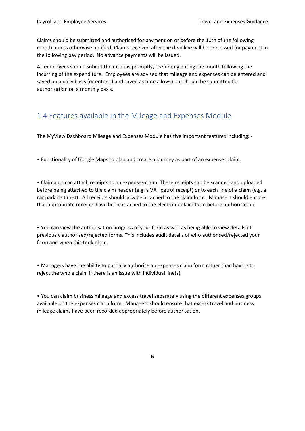Claims should be submitted and authorised for payment on or before the 10th of the following month unless otherwise notified. Claims received after the deadline will be processed for payment in the following pay period. No advance payments will be issued.

All employees should submit their claims promptly, preferably during the month following the incurring of the expenditure. Employees are advised that mileage and expenses can be entered and saved on a daily basis (or entered and saved as time allows) but should be submitted for authorisation on a monthly basis.

## <span id="page-5-0"></span>1.4 Features available in the Mileage and Expenses Module

The MyView Dashboard Mileage and Expenses Module has five important features including: -

• Functionality of Google Maps to plan and create a journey as part of an expenses claim.

• Claimants can attach receipts to an expenses claim. These receipts can be scanned and uploaded before being attached to the claim header (e.g. a VAT petrol receipt) or to each line of a claim (e.g. a car parking ticket). All receipts should now be attached to the claim form. Managers should ensure that appropriate receipts have been attached to the electronic claim form before authorisation.

• You can view the authorisation progress of your form as well as being able to view details of previously authorised/rejected forms. This includes audit details of who authorised/rejected your form and when this took place.

• Managers have the ability to partially authorise an expenses claim form rather than having to reject the whole claim if there is an issue with individual line(s).

• You can claim business mileage and excess travel separately using the different expenses groups available on the expenses claim form. Managers should ensure that excess travel and business mileage claims have been recorded appropriately before authorisation.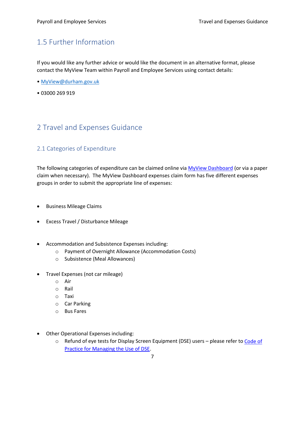## <span id="page-6-0"></span>1.5 Further Information

If you would like any further advice or would like the document in an alternative format, please contact the MyView Team within Payroll and Employee Services using contact details:

- [MyView@durham.gov.uk](mailto:MyView@durham.gov.uk)
- 03000 269 919

## <span id="page-6-1"></span>2 Travel and Expenses Guidance

#### <span id="page-6-2"></span>2.1 Categories of Expenditure

The following categories of expenditure can be claimed online via MyView [Dashboard](https://hrselfservice.durham.gov.uk/dcc) (or via a paper claim when necessary). The MyView Dashboard expenses claim form has five different expenses groups in order to submit the appropriate line of expenses:

- Business Mileage Claims
- Excess Travel / Disturbance Mileage
- Accommodation and Subsistence Expenses including:
	- o Payment of Overnight Allowance (Accommodation Costs)
	- o Subsistence (Meal Allowances)
- Travel Expenses (not car mileage)
	- o Air
	- o Rail
	- o Taxi
	- o Car Parking
	- o Bus Fares
- Other Operational Expenses including:
	- o Refund of eye tests for Display Screen Equipment (DSE) users please refer to [Code](http://intranet/Pages/PoliciesandProceduresDetails.aspx?ItemId=1575) of Practice [for Managing](http://intranet/Pages/PoliciesandProceduresDetails.aspx?ItemId=1575) the Use of DSE.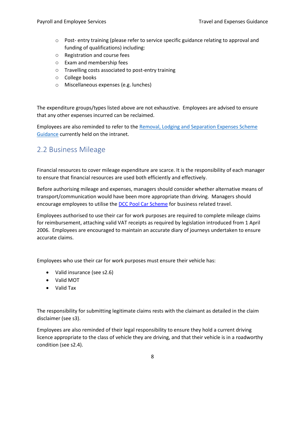- o Post- entry training (please refer to service specific guidance relating to approval and funding of qualifications) including:
- o Registration and course fees
- o Exam and membership fees
- o Travelling costs associated to post-entry training
- o College books
- o Miscellaneous expenses (e.g. lunches)

The expenditure groups/types listed above are not exhaustive. Employees are advised to ensure that any other expenses incurred can be reclaimed.

Employees are also reminded to refer to the [Removal, Lodging and Separation Expenses Scheme](http://intranet/Pages/PoliciesandProceduresDetails.aspx?ItemId=1779)  [Guidance](http://intranet/Pages/PoliciesandProceduresDetails.aspx?ItemId=1779) currently held on the intranet.

## <span id="page-7-0"></span>2.2 Business Mileage

Financial resources to cover mileage expenditure are scarce. It is the responsibility of each manager to ensure that financial resources are used both efficiently and effectively.

Before authorising mileage and expenses, managers should consider whether alternative means of transport/communication would have been more appropriate than driving. Managers should encourage employees to utilise the **DCC Pool [Car Scheme](http://intranet.durham.gov.uk/pages/PoolCars.aspx)** for business related travel.

Employees authorised to use their car for work purposes are required to complete mileage claims for reimbursement, attaching valid VAT receipts as required by legislation introduced from 1 April 2006. Employees are encouraged to maintain an accurate diary of journeys undertaken to ensure accurate claims.

Employees who use their car for work purposes must ensure their vehicle has:

- Valid insurance (see s2.6)
- Valid MOT
- Valid Tax

The responsibility for submitting legitimate claims rests with the claimant as detailed in the claim disclaimer (see s3).

Employees are also reminded of their legal responsibility to ensure they hold a current driving licence appropriate to the class of vehicle they are driving, and that their vehicle is in a roadworthy condition (see s2.4).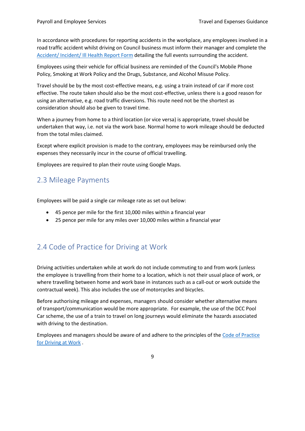In accordance with procedures for reporting accidents in the workplace, any employees involved in a road traffic accident whilst driving on Council business must inform their manager and complete the [Accident/ Incident/ Ill Health Report Form](http://intranet.durham.gov.uk/pages/Healthandsafety.aspx) detailing the full events surrounding the accident.

Employees using their vehicle for official business are reminded of the Council's Mobile Phone Policy, Smoking at Work Policy and the Drugs, Substance, and Alcohol Misuse Policy.

Travel should be by the most cost-effective means, e.g. using a train instead of car if more cost effective. The route taken should also be the most cost-effective, unless there is a good reason for using an alternative, e.g. road traffic diversions. This route need not be the shortest as consideration should also be given to travel time.

When a journey from home to a third location (or vice versa) is appropriate, travel should be undertaken that way, i.e. not via the work base. Normal home to work mileage should be deducted from the total miles claimed.

Except where explicit provision is made to the contrary, employees may be reimbursed only the expenses they necessarily incur in the course of official travelling.

Employees are required to plan their route using Google Maps.

## <span id="page-8-0"></span>2.3 Mileage Payments

Employees will be paid a single car mileage rate as set out below:

- 45 pence per mile for the first 10,000 miles within a financial year
- 25 pence per mile for any miles over 10,000 miles within a financial year

# <span id="page-8-1"></span>2.4 Code of Practice for Driving at Work

Driving activities undertaken while at work do not include commuting to and from work (unless the employee is travelling from their home to a location, which is not their usual place of work, or where travelling between home and work base in instances such as a call-out or work outside the contractual week). This also includes the use of motorcycles and bicycles.

Before authorising mileage and expenses, managers should consider whether alternative means of transport/communication would be more appropriate. For example, the use of the DCC Pool Car scheme, the use of a train to travel on long journeys would eliminate the hazards associated with driving to the destination.

Employees and managers should be aware of and adhere to the principles of the [Code of Practice](http://intranet.durham.gov.uk/pages/Drivingforwork.aspx)  [for Driving at Work](http://intranet.durham.gov.uk/pages/Drivingforwork.aspx) .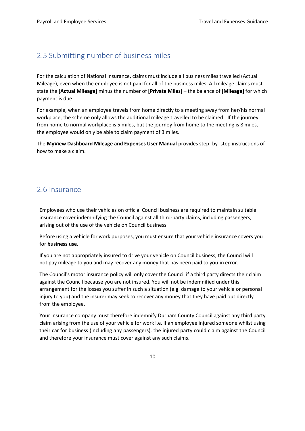## <span id="page-9-0"></span>2.5 Submitting number of business miles

For the calculation of National Insurance, claims must include all business miles travelled (Actual Mileage), even when the employee is not paid for all of the business miles. All mileage claims must state the **[Actual Mileage]** minus the number of **[Private Miles]** – the balance of **[Mileage]** for which payment is due.

For example, when an employee travels from home directly to a meeting away from her/his normal workplace, the scheme only allows the additional mileage travelled to be claimed. If the journey from home to normal workplace is 5 miles, but the journey from home to the meeting is 8 miles, the employee would only be able to claim payment of 3 miles.

The **MyView Dashboard Mileage and Expenses User Manual** provides step- by- step instructions of how to make a claim.

### <span id="page-9-1"></span>2.6 Insurance

Employees who use their vehicles on official Council business are required to maintain suitable insurance cover indemnifying the Council against all third-party claims, including passengers, arising out of the use of the vehicle on Council business.

Before using a vehicle for work purposes, you must ensure that your vehicle insurance covers you for **business use**.

If you are not appropriately insured to drive your vehicle on Council business, the Council will not pay mileage to you and may recover any money that has been paid to you in error.

The Council's motor insurance policy will only cover the Council if a third party directs their claim against the Council because you are not insured. You will not be indemnified under this arrangement for the losses you suffer in such a situation (e.g. damage to your vehicle or personal injury to you) and the insurer may seek to recover any money that they have paid out directly from the employee.

Your insurance company must therefore indemnify Durham County Council against any third party claim arising from the use of your vehicle for work i.e. if an employee injured someone whilst using their car for business (including any passengers), the injured party could claim against the Council and therefore your insurance must cover against any such claims.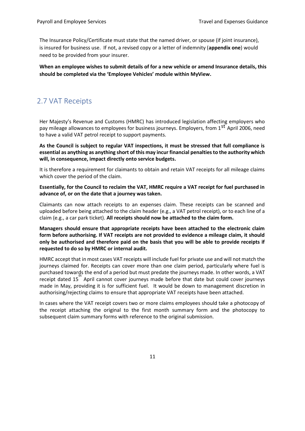The Insurance Policy/Certificate must state that the named driver, or spouse (if joint insurance), is insured for business use. If not, a revised copy or a letter of indemnity (**appendix one**) would need to be provided from your insurer.

**When an employee wishes to submit details of for a new vehicle or amend Insurance details, this should be completed via the 'Employee Vehicles' module within MyView.**

## <span id="page-10-0"></span>2.7 VAT Receipts

Her Majesty's Revenue and Customs (HMRC) has introduced legislation affecting employers who pay mileage allowances to employees for business journeys. Employers, from 1<sup>st</sup> April 2006, need to have a valid VAT petrol receipt to support payments.

**As the Council is subject to regular VAT inspections, it must be stressed that full compliance is essential as anything as anything short of this may incur financial penalties to the authority which will, in consequence, impact directly onto service budgets.** 

It is therefore a requirement for claimants to obtain and retain VAT receipts for all mileage claims which cover the period of the claim.

**Essentially, for the Council to reclaim the VAT, HMRC require a VAT receipt for fuel purchased in advance of, or on the date that a journey was taken.** 

Claimants can now attach receipts to an expenses claim. These receipts can be scanned and uploaded before being attached to the claim header (e.g., a VAT petrol receipt), or to each line of a claim (e.g., a car park ticket). **All receipts should now be attached to the claim form.**

**Managers should ensure that appropriate receipts have been attached to the electronic claim form before authorising. If VAT receipts are not provided to evidence a mileage claim, it should only be authorised and therefore paid on the basis that you will be able to provide receipts if requested to do so by HMRC or internal audit.** 

HMRC accept that in most cases VAT receipts will include fuel for private use and will not match the journeys claimed for. Receipts can cover more than one claim period, particularly where fuel is purchased towards the end of a period but must predate the journeys made. In other words, a VAT receipt dated 15<sup>th</sup> April cannot cover journeys made before that date but could cover journeys made in May, providing it is for sufficient fuel. It would be down to management discretion in authorising/rejecting claims to ensure that appropriate VAT receipts have been attached.

In cases where the VAT receipt covers two or more claims employees should take a photocopy of the receipt attaching the original to the first month summary form and the photocopy to subsequent claim summary forms with reference to the original submission.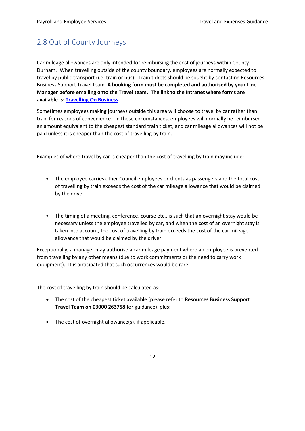## <span id="page-11-0"></span>2.8 Out of County Journeys

Car mileage allowances are only intended for reimbursing the cost of journeys within County Durham. When travelling outside of the county boundary, employees are normally expected to travel by public transport (i.e. train or bus). Train tickets should be sought by contacting Resources Business Support Travel team. **A booking form must be completed and authorised by your Line Manager before emailing onto the Travel team. The link to the Intranet where forms are available is: [Travelling On Business.](http://intranet/Pages/TravelllingOnBusiness.aspx)**

Sometimes employees making journeys outside this area will choose to travel by car rather than train for reasons of convenience. In these circumstances, employees will normally be reimbursed an amount equivalent to the cheapest standard train ticket, and car mileage allowances will not be paid unless it is cheaper than the cost of travelling by train.

Examples of where travel by car is cheaper than the cost of travelling by train may include:

- The employee carries other Council employees or clients as passengers and the total cost of travelling by train exceeds the cost of the car mileage allowance that would be claimed by the driver.
- The timing of a meeting, conference, course etc., is such that an overnight stay would be necessary unless the employee travelled by car, and when the cost of an overnight stay is taken into account, the cost of travelling by train exceeds the cost of the car mileage allowance that would be claimed by the driver.

Exceptionally, a manager may authorise a car mileage payment where an employee is prevented from travelling by any other means (due to work commitments or the need to carry work equipment). It is anticipated that such occurrences would be rare.

The cost of travelling by train should be calculated as:

- The cost of the cheapest ticket available (please refer to **Resources Business Support Travel Team on 03000 263758** for guidance), plus:
- The cost of overnight allowance(s), if applicable.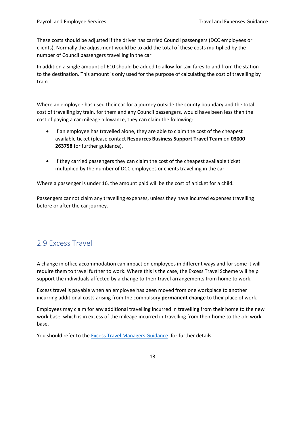These costs should be adjusted if the driver has carried Council passengers (DCC employees or clients). Normally the adjustment would be to add the total of these costs multiplied by the number of Council passengers travelling in the car.

In addition a single amount of £10 should be added to allow for taxi fares to and from the station to the destination. This amount is only used for the purpose of calculating the cost of travelling by train.

Where an employee has used their car for a journey outside the county boundary and the total cost of travelling by train, for them and any Council passengers, would have been less than the cost of paying a car mileage allowance, they can claim the following:

- If an employee has travelled alone, they are able to claim the cost of the cheapest available ticket (please contact **Resources Business Support Travel Team** on **03000 263758** for further guidance).
- If they carried passengers they can claim the cost of the cheapest available ticket multiplied by the number of DCC employees or clients travelling in the car.

Where a passenger is under 16, the amount paid will be the cost of a ticket for a child.

Passengers cannot claim any travelling expenses, unless they have incurred expenses travelling before or after the car journey.

## <span id="page-12-0"></span>2.9 Excess Travel

A change in office accommodation can impact on employees in different ways and for some it will require them to travel further to work. Where this is the case, the Excess Travel Scheme will help support the individuals affected by a change to their travel arrangements from home to work.

Excess travel is payable when an employee has been moved from one workplace to another incurring additional costs arising from the compulsory **permanent change** to their place of work.

Employees may claim for any additional travelling incurred in travelling from their home to the new work base, which is in excess of the mileage incurred in travelling from their home to the old work base.

You should refer to th[e Excess Travel Managers Guidance](http://intranet/Pages/PoliciesandProceduresDetails.aspx?ItemId=3491) for further details.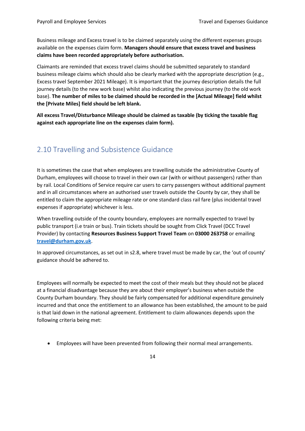Business mileage and Excess travel is to be claimed separately using the different expenses groups available on the expenses claim form. **Managers should ensure that excess travel and business claims have been recorded appropriately before authorisation.** 

Claimants are reminded that excess travel claims should be submitted separately to standard business mileage claims which should also be clearly marked with the appropriate description (e.g., Excess travel September 2021 Mileage). It is important that the journey description details the full journey details (to the new work base) whilst also indicating the previous journey (to the old work base). **The number of miles to be claimed should be recorded in the [Actual Mileage] field whilst the [Private Miles] field should be left blank.** 

**All excess Travel/Disturbance Mileage should be claimed as taxable (by ticking the taxable flag against each appropriate line on the expenses claim form).** 

## <span id="page-13-0"></span>2.10 Travelling and Subsistence Guidance

It is sometimes the case that when employees are travelling outside the administrative County of Durham, employees will choose to travel in their own car (with or without passengers) rather than by rail. Local Conditions of Service require car users to carry passengers without additional payment and in all circumstances where an authorised user travels outside the County by car, they shall be entitled to claim the appropriate mileage rate or one standard class rail fare (plus incidental travel expenses if appropriate) whichever is less.

When travelling outside of the county boundary, employees are normally expected to travel by public transport (i.e train or bus). Train tickets should be sought from Click Travel (DCC Travel Provider) by contacting **Resources Business Support Travel Team** on **03000 263758** or emailing **[travel@durham.gov.uk](mailto:travel@durham.gov.uk)**.

In approved circumstances, as set out in s2.8, where travel must be made by car, the 'out of county' guidance should be adhered to.

Employees will normally be expected to meet the cost of their meals but they should not be placed at a financial disadvantage because they are about their employer's business when outside the County Durham boundary. They should be fairly compensated for additional expenditure genuinely incurred and that once the entitlement to an allowance has been established, the amount to be paid is that laid down in the national agreement. Entitlement to claim allowances depends upon the following criteria being met:

• Employees will have been prevented from following their normal meal arrangements.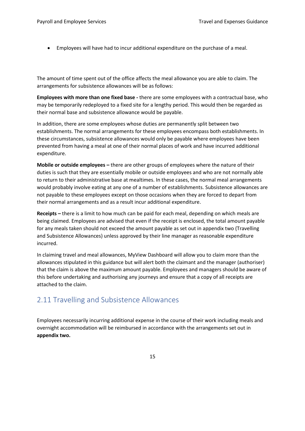• Employees will have had to incur additional expenditure on the purchase of a meal.

The amount of time spent out of the office affects the meal allowance you are able to claim. The arrangements for subsistence allowances will be as follows:

**Employees with more than one fixed base -** there are some employees with a contractual base, who may be temporarily redeployed to a fixed site for a lengthy period. This would then be regarded as their normal base and subsistence allowance would be payable.

In addition, there are some employees whose duties are permanently split between two establishments. The normal arrangements for these employees encompass both establishments. In these circumstances, subsistence allowances would only be payable where employees have been prevented from having a meal at one of their normal places of work and have incurred additional expenditure.

**Mobile or outside employees –** there are other groups of employees where the nature of their duties is such that they are essentially mobile or outside employees and who are not normally able to return to their administrative base at mealtimes. In these cases, the normal meal arrangements would probably involve eating at any one of a number of establishments. Subsistence allowances are not payable to these employees except on those occasions when they are forced to depart from their normal arrangements and as a result incur additional expenditure.

**Receipts –** there is a limit to how much can be paid for each meal, depending on which meals are being claimed. Employees are advised that even if the receipt is enclosed, the total amount payable for any meals taken should not exceed the amount payable as set out in appendix two (Travelling and Subsistence Allowances) unless approved by their line manager as reasonable expenditure incurred.

In claiming travel and meal allowances, MyView Dashboard will allow you to claim more than the allowances stipulated in this guidance but will alert both the claimant and the manager (authoriser) that the claim is above the maximum amount payable. Employees and managers should be aware of this before undertaking and authorising any journeys and ensure that a copy of all receipts are attached to the claim.

## <span id="page-14-0"></span>2.11 Travelling and Subsistence Allowances

Employees necessarily incurring additional expense in the course of their work including meals and overnight accommodation will be reimbursed in accordance with the arrangements set out in **appendix two.**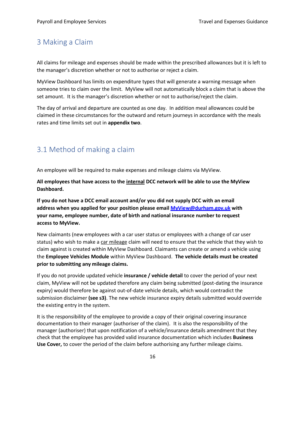#### <span id="page-15-0"></span>3 Making a Claim

All claims for mileage and expenses should be made within the prescribed allowances but it is left to the manager's discretion whether or not to authorise or reject a claim.

MyView Dashboard has limits on expenditure types that will generate a warning message when someone tries to claim over the limit. MyView will not automatically block a claim that is above the set amount. It is the manager's discretion whether or not to authorise/reject the claim.

The day of arrival and departure are counted as one day. In addition meal allowances could be claimed in these circumstances for the outward and return journeys in accordance with the meals rates and time limits set out in **appendix two**.

## <span id="page-15-1"></span>3.1 Method of making a claim

An employee will be required to make expenses and mileage claims via MyView.

**All employees that have access to the internal DCC network will be able to use the MyView Dashboard.**

**If you do not have a DCC email account and/or you did not supply DCC with an email address when you applied for your position please email [MyView@durham.gov.uk](mailto:MyView@durham.gov.uk) with your name, employee number, date of birth and national insurance number to request access to MyView.**

New claimants (new employees with a car user status or employees with a change of car user status) who wish to make a car mileage claim will need to ensure that the vehicle that they wish to claim against is created within MyView Dashboard. Claimants can create or amend a vehicle using the **Employee Vehicles Module** within MyView Dashboard. **The vehicle details must be created prior to submitting any mileage claims.**

If you do not provide updated vehicle **insurance / vehicle detail** to cover the period of your next claim, MyView will not be updated therefore any claim being submitted (post-dating the insurance expiry) would therefore be against out-of-date vehicle details, which would contradict the submission disclaimer **(see s3)**. The new vehicle insurance expiry details submitted would override the existing entry in the system.

It is the responsibility of the employee to provide a copy of their original covering insurance documentation to their manager (authoriser of the claim). It is also the responsibility of the manager (authoriser) that upon notification of a vehicle/insurance details amendment that they check that the employee has provided valid insurance documentation which includes **Business Use Cover,** to cover the period of the claim before authorising any further mileage claims.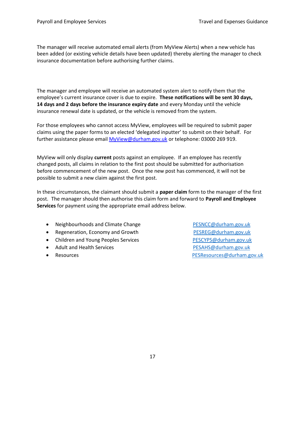The manager will receive automated email alerts (from MyView Alerts) when a new vehicle has been added (or existing vehicle details have been updated) thereby alerting the manager to check insurance documentation before authorising further claims.

The manager and employee will receive an automated system alert to notify them that the employee's current insurance cover is due to expire. **These notifications will be sent 30 days, 14 days and 2 days before the insurance expiry date** and every Monday until the vehicle insurance renewal date is updated, or the vehicle is removed from the system.

For those employees who cannot access MyView, employees will be required to submit paper claims using the paper forms to an elected 'delegated inputter' to submit on their behalf. For further assistance please email [MyView@durham.gov.uk](mailto:MyView@durham.gov.uk) or telephone: 03000 269 919.

MyView will only display **current** posts against an employee. If an employee has recently changed posts, all claims in relation to the first post should be submitted for authorisation before commencement of the new post. Once the new post has commenced, it will not be possible to submit a new claim against the first post.

In these circumstances, the claimant should submit a **paper claim** form to the manager of the first post. The manager should then authorise this claim form and forward to **Payroll and Employee Services** for payment using the appropriate email address below.

- Neighbourhoods and Climate Change [PESNCC@durham.gov.uk](mailto:PESNCC@durham.gov.uk)
- Regeneration, Economy and Growth [PESREG@durham.gov.uk](mailto:PESREG@durham.gov.uk)
- Children and Young Peoples Services **[PESCYPS@durham.gov.uk](mailto:PESCYPS@durham.gov.uk)**
- Adult and Health Services **[PESAHS@durham.gov.uk](mailto:PESAHS@durham.gov.uk)**
- 

• Resources [PESResources@durham.gov.uk](mailto:PESResources@durham.gov.uk)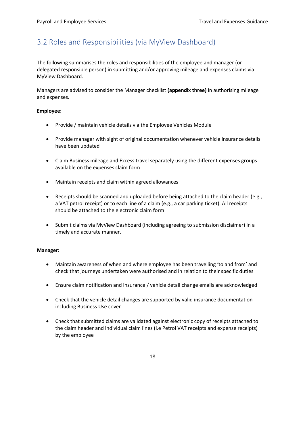## <span id="page-17-0"></span>3.2 Roles and Responsibilities (via MyView Dashboard)

The following summarises the roles and responsibilities of the employee and manager (or delegated responsible person) in submitting and/or approving mileage and expenses claims via MyView Dashboard.

Managers are advised to consider the Manager checklist **(appendix three)** in authorising mileage and expenses.

#### **Employee:**

- Provide / maintain vehicle details via the Employee Vehicles Module
- Provide manager with sight of original documentation whenever vehicle insurance details have been updated
- Claim Business mileage and Excess travel separately using the different expenses groups available on the expenses claim form
- Maintain receipts and claim within agreed allowances
- Receipts should be scanned and uploaded before being attached to the claim header (e.g., a VAT petrol receipt) or to each line of a claim (e.g., a car parking ticket). All receipts should be attached to the electronic claim form
- Submit claims via MyView Dashboard (including agreeing to submission disclaimer) in a timely and accurate manner.

#### **Manager:**

- Maintain awareness of when and where employee has been travelling 'to and from' and check that journeys undertaken were authorised and in relation to their specific duties
- Ensure claim notification and insurance / vehicle detail change emails are acknowledged
- Check that the vehicle detail changes are supported by valid insurance documentation including Business Use cover
- Check that submitted claims are validated against electronic copy of receipts attached to the claim header and individual claim lines (i.e Petrol VAT receipts and expense receipts) by the employee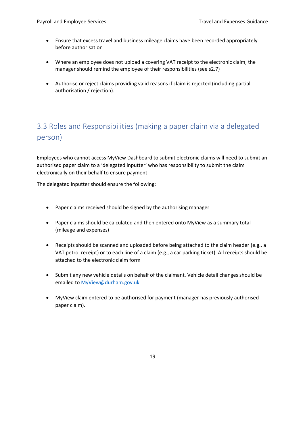- Ensure that excess travel and business mileage claims have been recorded appropriately before authorisation
- Where an employee does not upload a covering VAT receipt to the electronic claim, the manager should remind the employee of their responsibilities (see s2.7)
- Authorise or reject claims providing valid reasons if claim is rejected (including partial authorisation / rejection).

# <span id="page-18-0"></span>3.3 Roles and Responsibilities (making a paper claim via a delegated person)

Employees who cannot access MyView Dashboard to submit electronic claims will need to submit an authorised paper claim to a 'delegated inputter' who has responsibility to submit the claim electronically on their behalf to ensure payment.

The delegated inputter should ensure the following:

- Paper claims received should be signed by the authorising manager
- Paper claims should be calculated and then entered onto MyView as a summary total (mileage and expenses)
- Receipts should be scanned and uploaded before being attached to the claim header (e.g., a VAT petrol receipt) or to each line of a claim (e.g., a car parking ticket). All receipts should be attached to the electronic claim form
- Submit any new vehicle details on behalf of the claimant. Vehicle detail changes should be emailed to [MyView@durham.gov.uk](mailto:MyView@durham.gov.uk)
- MyView claim entered to be authorised for payment (manager has previously authorised paper claim).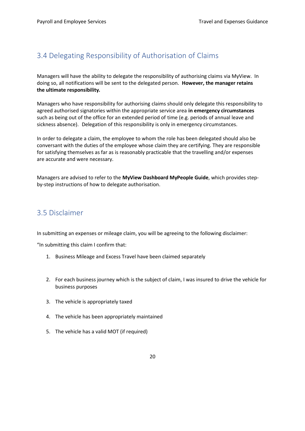## <span id="page-19-0"></span>3.4 Delegating Responsibility of Authorisation of Claims

Managers will have the ability to delegate the responsibility of authorising claims via MyView. In doing so, all notifications will be sent to the delegated person. **However, the manager retains the ultimate responsibility.**

Managers who have responsibility for authorising claims should only delegate this responsibility to agreed authorised signatories within the appropriate service area **in emergency circumstances**  such as being out of the office for an extended period of time (e.g. periods of annual leave and sickness absence). Delegation of this responsibility is only in emergency circumstances.

In order to delegate a claim, the employee to whom the role has been delegated should also be conversant with the duties of the employee whose claim they are certifying. They are responsible for satisfying themselves as far as is reasonably practicable that the travelling and/or expenses are accurate and were necessary.

Managers are advised to refer to the **MyView Dashboard MyPeople Guide**, which provides stepby-step instructions of how to delegate authorisation.

## <span id="page-19-1"></span>3.5 Disclaimer

In submitting an expenses or mileage claim, you will be agreeing to the following disclaimer:

"In submitting this claim I confirm that:

- 1. Business Mileage and Excess Travel have been claimed separately
- 2. For each business journey which is the subject of claim, I was insured to drive the vehicle for business purposes
- 3. The vehicle is appropriately taxed
- 4. The vehicle has been appropriately maintained
- 5. The vehicle has a valid MOT (if required)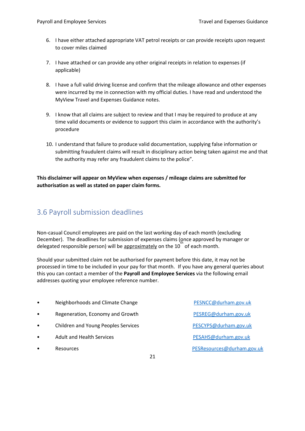- 6. I have either attached appropriate VAT petrol receipts or can provide receipts upon request to cover miles claimed
- 7. I have attached or can provide any other original receipts in relation to expenses (if applicable)
- 8. I have a full valid driving license and confirm that the mileage allowance and other expenses were incurred by me in connection with my official duties. I have read and understood the MyView Travel and Expenses Guidance notes.
- 9. I know that all claims are subject to review and that I may be required to produce at any time valid documents or evidence to support this claim in accordance with the authority's procedure
- 10. I understand that failure to produce valid documentation, supplying false information or submitting fraudulent claims will result in disciplinary action being taken against me and that the authority may refer any fraudulent claims to the police".

**This disclaimer will appear on MyView when expenses / mileage claims are submitted for authorisation as well as stated on paper claim forms.** 

## <span id="page-20-0"></span>3.6 Payroll submission deadlines

Non-casual Council employees are paid on the last working day of each month (excluding December). The deadlines for submission of expenses claims (once approved by manager or delegated responsible person) will be approximately on the 10<sup>th</sup> of each month.

Should your submitted claim not be authorised for payment before this date, it may not be processed in time to be included in your pay for that month. If you have any general queries about this you can contact a member of the **Payroll and Employee Services** via the following email addresses quoting your employee reference number.

- Neighborhoods and Climate Change **[PESNCC@durham.gov.uk](mailto:PESNCC@durham.gov.uk)**
- Regeneration, Economy and Growth [PESREG@durham.gov.uk](mailto:PESREG@durham.gov.uk)
- Children and Young Peoples Services examples are the RESCYPS@durham.gov.uk
- Adult and Health Services **Adult and Health Services [PESAHS@durham.gov.uk](mailto:PESAHS@durham.gov.uk)**
- 

• Resources [PESResources@durham.gov.uk](mailto:PESResources@durham.gov.uk)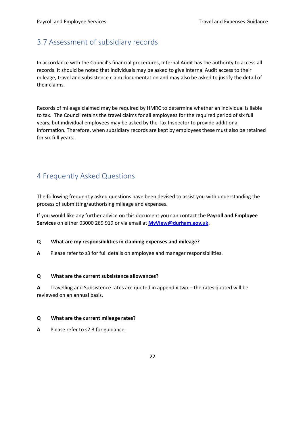## <span id="page-21-0"></span>3.7 Assessment of subsidiary records

In accordance with the Council's financial procedures, Internal Audit has the authority to access all records. It should be noted that individuals may be asked to give Internal Audit access to their mileage, travel and subsistence claim documentation and may also be asked to justify the detail of their claims.

Records of mileage claimed may be required by HMRC to determine whether an individual is liable to tax. The Council retains the travel claims for all employees for the required period of six full years, but individual employees may be asked by the Tax Inspector to provide additional information. Therefore, when subsidiary records are kept by employees these must also be retained for six full years.

## <span id="page-21-1"></span>4 Frequently Asked Questions

The following frequently asked questions have been devised to assist you with understanding the process of submitting/authorising mileage and expenses.

If you would like any further advice on this document you can contact the **Payroll and Employee Services** on either 03000 269 919 or via email at **[MyView@durham.gov.uk.](mailto:MyView@durham.gov.uk)**

#### **Q What are my responsibilities in claiming expenses and mileage?**

**A** Please refer to s3 for full details on employee and manager responsibilities.

#### **Q What are the current subsistence allowances?**

**A** Travelling and Subsistence rates are quoted in appendix two – the rates quoted will be reviewed on an annual basis.

#### **Q What are the current mileage rates?**

**A** Please refer to s2.3 for guidance.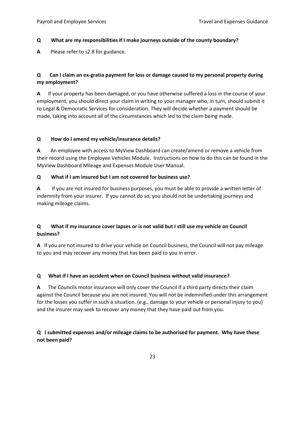#### **Q What are my responsibilities if I make journeys outside of the county boundary?**

**A** Please refer to s2.8 for guidance.

#### **Q Can I claim an ex-gratia payment for loss or damage caused to my personal property during my employment?**

**A** If your property has been damaged, or you have otherwise suffered a loss in the course of your employment, you should direct your claim in writing to your manager who, in turn, should submit it to Legal & Democratic Services for consideration. They will decide whether a payment should be made, taking into account all of the circumstances which led to the claim being made.

#### **Q How do I amend my vehicle/insurance details?**

**A** An employee with access to MyView Dashboard can create/amend or remove a vehicle from their record using the Employee Vehicles Module. Instructions on how to do this can be found in the MyView Dashboard Mileage and Expenses Module User Manual.

#### **Q What if I am insured but I am not covered for business use?**

**A** If you are not insured for business purposes, you must be able to provide a written letter of indemnity from your insurer. If you cannot do so, you should not be undertaking journeys and making mileage claims.

#### **Q What if my insurance cover lapses or is not valid but I still use my vehicle on Council business?**

**A** If you are not insured to drive your vehicle on Council business, the Council will not pay mileage to you and may recover any money that has been paid to you in error.

#### **Q What if I have an accident when on Council business without valid insurance?**

**A** The Councils motor insurance will only cover the Council if a third party directs their claim against the Council because you are not insured. You will not be indemnified under this arrangement for the losses you suffer in such a situation. (e.g., damage to your vehicle or personal injury to you) and the insurer may seek to recover any money that they have paid out from you.

#### **Q I submitted expenses and/or mileage claims to be authorised for payment. Why have these not been paid?**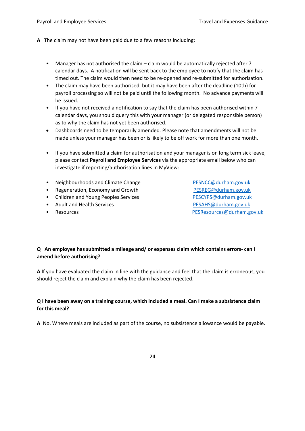- **A** The claim may not have been paid due to a few reasons including:
	- Manager has not authorised the claim claim would be automatically rejected after 7 calendar days. A notification will be sent back to the employee to notify that the claim has timed out. The claim would then need to be re-opened and re-submitted for authorisation.
	- The claim may have been authorised, but it may have been after the deadline (10th) for payroll processing so will not be paid until the following month. No advance payments will be issued.
	- If you have not received a notification to say that the claim has been authorised within 7 calendar days, you should query this with your manager (or delegated responsible person) as to why the claim has not yet been authorised.
	- Dashboards need to be temporarily amended. Please note that amendments will not be made unless your manager has been or is likely to be off work for more than one month.
	- If you have submitted a claim for authorisation and your manager is on long term sick leave, please contact **Payroll and Employee Services** via the appropriate email below who can investigate if reporting/authorisation lines in MyView:
	- Neighbourhoods and Climate Change [PESNCC@durham.gov.uk](mailto:PESNCC@durham.gov.uk)
	- Regeneration, Economy and Growth [PESREG@durham.gov.uk](mailto:PESREG@durham.gov.uk)
	- Children and Young Peoples Services **[PESCYPS@durham.gov.uk](mailto:PESCYPS@durham.gov.uk)**
	- Adult and Health Services **[PESAHS@durham.gov.uk](mailto:PESAHS@durham.gov.uk)**
	-

• Resources [PESResources@durham.gov.uk](mailto:PESResources@durham.gov.uk)

#### **Q An employee has submitted a mileage and/ or expenses claim which contains errors- can I amend before authorising?**

**A** If you have evaluated the claim in line with the guidance and feel that the claim is erroneous, you should reject the claim and explain why the claim has been rejected.

#### **Q I have been away on a training course, which included a meal. Can I make a subsistence claim for this meal?**

**A** No. Where meals are included as part of the course, no subsistence allowance would be payable.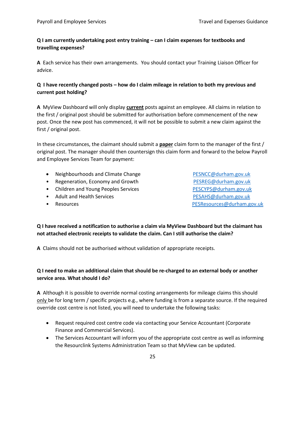#### **Q I am currently undertaking post entry training – can I claim expenses for textbooks and travelling expenses?**

**A** Each service has their own arrangements. You should contact your Training Liaison Officer for advice.

#### **Q I have recently changed posts – how do I claim mileage in relation to both my previous and current post holding?**

**A** MyView Dashboard will only display **current** posts against an employee. All claims in relation to the first / original post should be submitted for authorisation before commencement of the new post. Once the new post has commenced, it will not be possible to submit a new claim against the first / original post.

In these circumstances, the claimant should submit a **paper** claim form to the manager of the first / original post. The manager should then countersign this claim form and forward to the below Payroll and Employee Services Team for payment:

- Neighbourhoods and Climate Change [PESNCC@durham.gov.uk](mailto:PESNCC@durham.gov.uk)
- Regeneration, Economy and Growth [PESREG@durham.gov.uk](mailto:PESREG@durham.gov.uk)
- Children and Young Peoples Services entitled and the SCYPS@durham.gov.uk
- Adult and Health Services **[PESAHS@durham.gov.uk](mailto:PESAHS@durham.gov.uk)**
- 

• Resources [PESResources@durham.gov.uk](mailto:PESResources@durham.gov.uk)

**Q I have received a notification to authorise a claim via MyView Dashboard but the claimant has not attached electronic receipts to validate the claim. Can I still authorise the claim?**

**A** Claims should not be authorised without validation of appropriate receipts.

#### **Q I need to make an additional claim that should be re-charged to an external body or another service area. What should I do?**

**A** Although it is possible to override normal costing arrangements for mileage claims this should only be for long term / specific projects e.g., where funding is from a separate source. If the required override cost centre is not listed, you will need to undertake the following tasks:

- Request required cost centre code via contacting your Service Accountant (Corporate Finance and Commercial Services).
- The Services Accountant will inform you of the appropriate cost centre as well as informing the Resourclink Systems Administration Team so that MyView can be updated.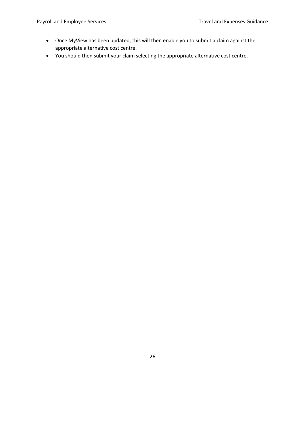- Once MyView has been updated, this will then enable you to submit a claim against the appropriate alternative cost centre.
- You should then submit your claim selecting the appropriate alternative cost centre.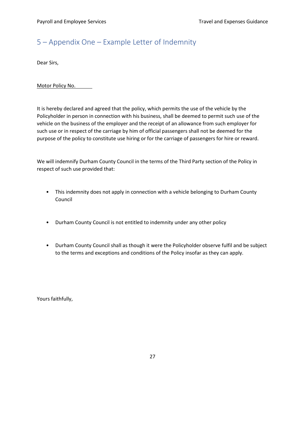# <span id="page-26-0"></span>5 – Appendix One – Example Letter of Indemnity

Dear Sirs,

Motor Policy No.

It is hereby declared and agreed that the policy, which permits the use of the vehicle by the Policyholder in person in connection with his business, shall be deemed to permit such use of the vehicle on the business of the employer and the receipt of an allowance from such employer for such use or in respect of the carriage by him of official passengers shall not be deemed for the purpose of the policy to constitute use hiring or for the carriage of passengers for hire or reward.

We will indemnify Durham County Council in the terms of the Third Party section of the Policy in respect of such use provided that:

- This indemnity does not apply in connection with a vehicle belonging to Durham County Council
- Durham County Council is not entitled to indemnity under any other policy
- Durham County Council shall as though it were the Policyholder observe fulfil and be subject to the terms and exceptions and conditions of the Policy insofar as they can apply.

Yours faithfully,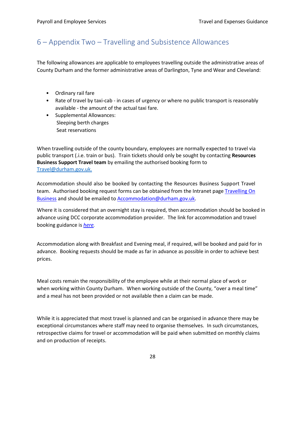## <span id="page-27-0"></span>6 – Appendix Two – Travelling and Subsistence Allowances

The following allowances are applicable to employees travelling outside the administrative areas of County Durham and the former administrative areas of Darlington, Tyne and Wear and Cleveland:

- Ordinary rail fare
- Rate of travel by taxi-cab in cases of urgency or where no public transport is reasonably available - the amount of the actual taxi fare.
- Supplemental Allowances: Sleeping berth charges Seat reservations

When travelling outside of the county boundary, employees are normally expected to travel via public transport (.i.e. train or bus). Train tickets should only be sought by contacting **Resources Business Support Travel team** by emailing the authorised booking form to [Travel@durham.gov.uk.](mailto:Travel@durham.gov.uk.)

Accommodation should also be booked by contacting the Resources Business Support Travel team. Authorised booking request forms can be obtained from the Intranet page [Travelling](http://intranet/Pages/TravelllingOnBusiness.aspx) On [Business](http://intranet/Pages/TravelllingOnBusiness.aspx) and should be emailed to [Accommodation@durham.gov.uk.](mailto:Accommodation@durham.gov.uk)

Where it is considered that an overnight stay is required, then accommodation should be booked in advance using DCC corporate accommodation provider. The link for accommodation and travel booking guidance is *[here.](http://intranet/Pages/TravelllingOnBusiness.aspx)*

Accommodation along with Breakfast and Evening meal, if required, will be booked and paid for in advance. Booking requests should be made as far in advance as possible in order to achieve best prices.

Meal costs remain the responsibility of the employee while at their normal place of work or when working within County Durham. When working outside of the County, "over a meal time" and a meal has not been provided or not available then a claim can be made.

While it is appreciated that most travel is planned and can be organised in advance there may be exceptional circumstances where staff may need to organise themselves. In such circumstances, retrospective claims for travel or accommodation will be paid when submitted on monthly claims and on production of receipts.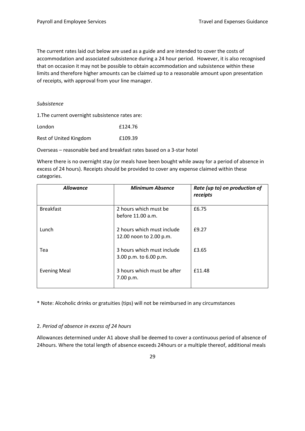The current rates laid out below are used as a guide and are intended to cover the costs of accommodation and associated subsistence during a 24 hour period. However, it is also recognised that on occasion it may not be possible to obtain accommodation and subsistence within these limits and therefore higher amounts can be claimed up to a reasonable amount upon presentation of receipts, with approval from your line manager.

#### *Subsistence*

1.The current overnight subsistence rates are:

| London                 | £124.76 |
|------------------------|---------|
| Rest of United Kingdom | £109.39 |

Overseas – reasonable bed and breakfast rates based on a 3-star hotel

Where there is no overnight stay (or meals have been bought while away for a period of absence in excess of 24 hours). Receipts should be provided to cover any expense claimed within these categories.

| <b>Allowance</b>    | <b>Minimum Absence</b>                                | Rate (up to) on production of<br>receipts |
|---------------------|-------------------------------------------------------|-------------------------------------------|
| <b>Breakfast</b>    | 2 hours which must be<br>before 11.00 a.m.            | £6.75                                     |
| Lunch               | 2 hours which must include<br>12.00 noon to 2.00 p.m. | £9.27                                     |
| Tea                 | 3 hours which must include<br>3.00 p.m. to 6.00 p.m.  | £3.65                                     |
| <b>Evening Meal</b> | 3 hours which must be after<br>7.00 p.m.              | £11.48                                    |

\* Note: Alcoholic drinks or gratuities (tips) will not be reimbursed in any circumstances

#### 2. *Period of absence in excess of 24 hours*

Allowances determined under A1 above shall be deemed to cover a continuous period of absence of 24hours. Where the total length of absence exceeds 24hours or a multiple thereof, additional meals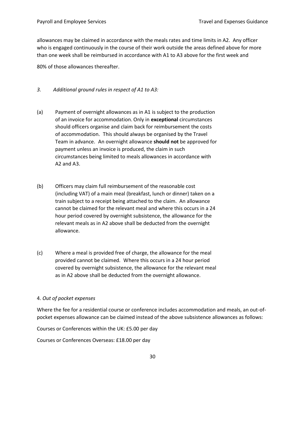allowances may be claimed in accordance with the meals rates and time limits in A2. Any officer who is engaged continuously in the course of their work outside the areas defined above for more than one week shall be reimbursed in accordance with A1 to A3 above for the first week and

80% of those allowances thereafter.

- *3. Additional ground rules in respect of A1 to A3:*
- (a) Payment of overnight allowances as in A1 is subject to the production of an invoice for accommodation. Only in **exceptional** circumstances should officers organise and claim back for reimbursement the costs of accommodation. This should always be organised by the Travel Team in advance. An overnight allowance **should not** be approved for payment unless an invoice is produced, the claim in such circumstances being limited to meals allowances in accordance with A2 and A3.
- (b) Officers may claim full reimbursement of the reasonable cost (including VAT) of a main meal (breakfast, lunch or dinner) taken on a train subject to a receipt being attached to the claim. An allowance cannot be claimed for the relevant meal and where this occurs in a 24 hour period covered by overnight subsistence, the allowance for the relevant meals as in A2 above shall be deducted from the overnight allowance.
- (c) Where a meal is provided free of charge, the allowance for the meal provided cannot be claimed. Where this occurs in a 24 hour period covered by overnight subsistence, the allowance for the relevant meal as in A2 above shall be deducted from the overnight allowance.

#### 4. *Out of pocket expenses*

Where the fee for a residential course or conference includes accommodation and meals, an out-ofpocket expenses allowance can be claimed instead of the above subsistence allowances as follows:

Courses or Conferences within the UK: £5.00 per day

Courses or Conferences Overseas: £18.00 per day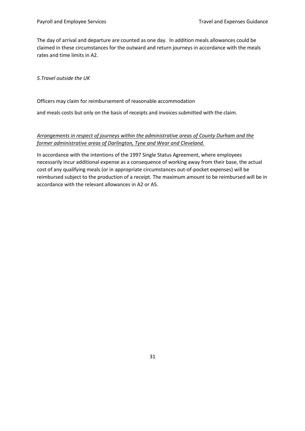The day of arrival and departure are counted as one day. In addition meals allowances could be claimed in these circumstances for the outward and return journeys in accordance with the meals rates and time limits in A2.

*5.Travel outside the UK*

#### Officers may claim for reimbursement of reasonable accommodation

and meals costs but only on the basis of receipts and invoices submitted with the claim.

#### *Arrangements in respect of journeys within the administrative areas of County Durham and the former administrative areas of Darlington, Tyne and Wear and Cleveland.*

In accordance with the intentions of the 1997 Single Status Agreement, where employees necessarily incur additional expense as a consequence of working away from their base, the actual cost of any qualifying meals (or in appropriate circumstances out-of-pocket expenses) will be reimbursed subject to the production of a receipt. The maximum amount to be reimbursed will be in accordance with the relevant allowances in A2 or A5.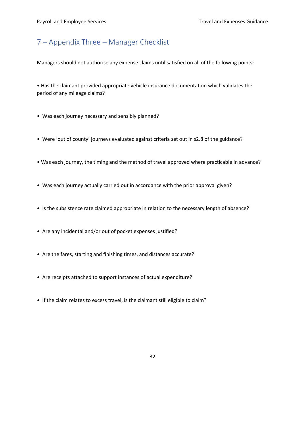## <span id="page-31-0"></span>7 – Appendix Three – Manager Checklist

Managers should not authorise any expense claims until satisfied on all of the following points:

• Has the claimant provided appropriate vehicle insurance documentation which validates the period of any mileage claims?

- Was each journey necessary and sensibly planned?
- Were 'out of county' journeys evaluated against criteria set out in s2.8 of the guidance?
- Was each journey, the timing and the method of travel approved where practicable in advance?
- Was each journey actually carried out in accordance with the prior approval given?
- Is the subsistence rate claimed appropriate in relation to the necessary length of absence?
- Are any incidental and/or out of pocket expenses justified?
- Are the fares, starting and finishing times, and distances accurate?
- Are receipts attached to support instances of actual expenditure?
- If the claim relates to excess travel, is the claimant still eligible to claim?